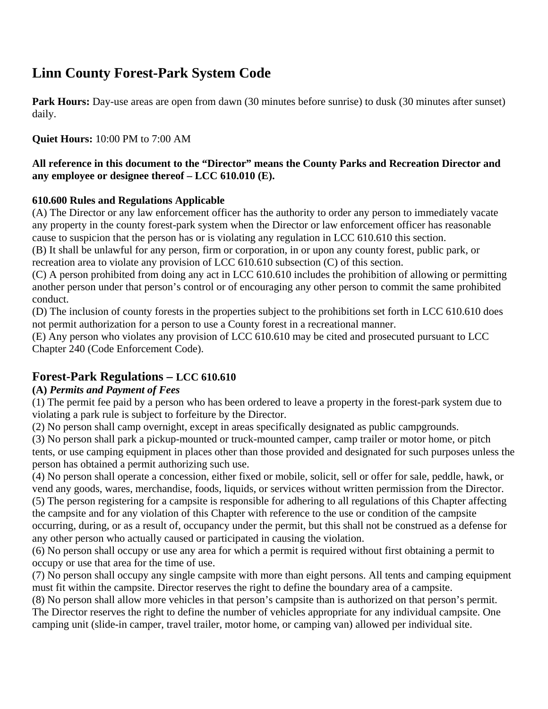# **Linn County Forest-Park System Code**

**Park Hours:** Day-use areas are open from dawn (30 minutes before sunrise) to dusk (30 minutes after sunset) daily.

**Quiet Hours:** 10:00 PM to 7:00 AM

#### **All reference in this document to the "Director" means the County Parks and Recreation Director and any employee or designee thereof – LCC 610.010 (E).**

#### **610.600 Rules and Regulations Applicable**

(A) The Director or any law enforcement officer has the authority to order any person to immediately vacate any property in the county forest-park system when the Director or law enforcement officer has reasonable cause to suspicion that the person has or is violating any regulation in LCC 610.610 this section.

(B) It shall be unlawful for any person, firm or corporation, in or upon any county forest, public park, or recreation area to violate any provision of LCC 610.610 subsection (C) of this section.

(C) A person prohibited from doing any act in LCC 610.610 includes the prohibition of allowing or permitting another person under that person's control or of encouraging any other person to commit the same prohibited conduct.

(D) The inclusion of county forests in the properties subject to the prohibitions set forth in LCC 610.610 does not permit authorization for a person to use a County forest in a recreational manner.

(E) Any person who violates any provision of LCC 610.610 may be cited and prosecuted pursuant to LCC Chapter 240 (Code Enforcement Code).

# **Forest-Park Regulations – LCC 610.610**

#### **(A)** *Permits and Payment of Fees*

(1) The permit fee paid by a person who has been ordered to leave a property in the forest-park system due to violating a park rule is subject to forfeiture by the Director.

(2) No person shall camp overnight, except in areas specifically designated as public campgrounds.

(3) No person shall park a pickup-mounted or truck-mounted camper, camp trailer or motor home, or pitch tents, or use camping equipment in places other than those provided and designated for such purposes unless the person has obtained a permit authorizing such use.

(4) No person shall operate a concession, either fixed or mobile, solicit, sell or offer for sale, peddle, hawk, or vend any goods, wares, merchandise, foods, liquids, or services without written permission from the Director. (5) The person registering for a campsite is responsible for adhering to all regulations of this Chapter affecting the campsite and for any violation of this Chapter with reference to the use or condition of the campsite occurring, during, or as a result of, occupancy under the permit, but this shall not be construed as a defense for any other person who actually caused or participated in causing the violation.

(6) No person shall occupy or use any area for which a permit is required without first obtaining a permit to occupy or use that area for the time of use.

(7) No person shall occupy any single campsite with more than eight persons. All tents and camping equipment must fit within the campsite. Director reserves the right to define the boundary area of a campsite.

(8) No person shall allow more vehicles in that person's campsite than is authorized on that person's permit. The Director reserves the right to define the number of vehicles appropriate for any individual campsite. One camping unit (slide-in camper, travel trailer, motor home, or camping van) allowed per individual site.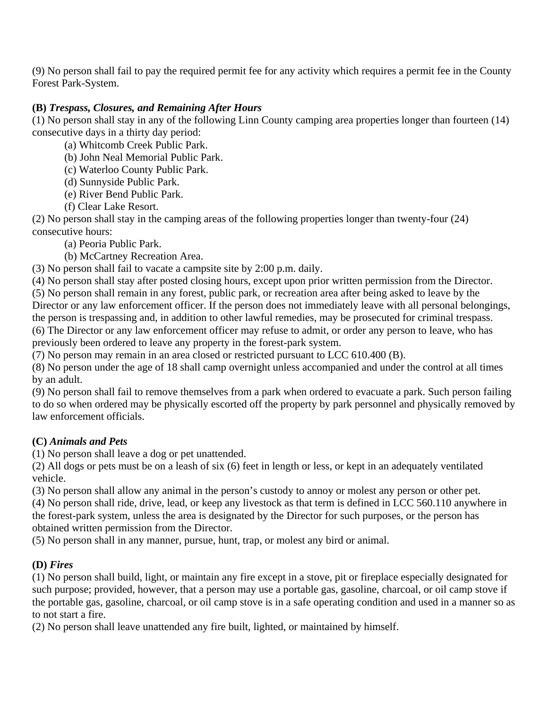(9) No person shall fail to pay the required permit fee for any activity which requires a permit fee in the County Forest Park-System.

## **(B)** *Trespass, Closures, and Remaining After Hours*

(1) No person shall stay in any of the following Linn County camping area properties longer than fourteen (14) consecutive days in a thirty day period:

(a) Whitcomb Creek Public Park.

(b) John Neal Memorial Public Park.

(c) Waterloo County Public Park.

(d) Sunnyside Public Park.

(e) River Bend Public Park.

(f) Clear Lake Resort.

(2) No person shall stay in the camping areas of the following properties longer than twenty-four (24) consecutive hours:

(a) Peoria Public Park.

(b) McCartney Recreation Area.

(3) No person shall fail to vacate a campsite site by 2:00 p.m. daily.

(4) No person shall stay after posted closing hours, except upon prior written permission from the Director.

(5) No person shall remain in any forest, public park, or recreation area after being asked to leave by the Director or any law enforcement officer. If the person does not immediately leave with all personal belongings, the person is trespassing and, in addition to other lawful remedies, may be prosecuted for criminal trespass. (6) The Director or any law enforcement officer may refuse to admit, or order any person to leave, who has previously been ordered to leave any property in the forest-park system.

(7) No person may remain in an area closed or restricted pursuant to LCC 610.400 (B).

(8) No person under the age of 18 shall camp overnight unless accompanied and under the control at all times by an adult.

(9) No person shall fail to remove themselves from a park when ordered to evacuate a park. Such person failing to do so when ordered may be physically escorted off the property by park personnel and physically removed by law enforcement officials.

## **(C)** *Animals and Pets*

(1) No person shall leave a dog or pet unattended.

(2) All dogs or pets must be on a leash of six (6) feet in length or less, or kept in an adequately ventilated vehicle.

(3) No person shall allow any animal in the person's custody to annoy or molest any person or other pet.

(4) No person shall ride, drive, lead, or keep any livestock as that term is defined in LCC 560.110 anywhere in the forest-park system, unless the area is designated by the Director for such purposes, or the person has obtained written permission from the Director.

(5) No person shall in any manner, pursue, hunt, trap, or molest any bird or animal.

## **(D)** *Fires*

(1) No person shall build, light, or maintain any fire except in a stove, pit or fireplace especially designated for such purpose; provided, however, that a person may use a portable gas, gasoline, charcoal, or oil camp stove if the portable gas, gasoline, charcoal, or oil camp stove is in a safe operating condition and used in a manner so as to not start a fire.

(2) No person shall leave unattended any fire built, lighted, or maintained by himself.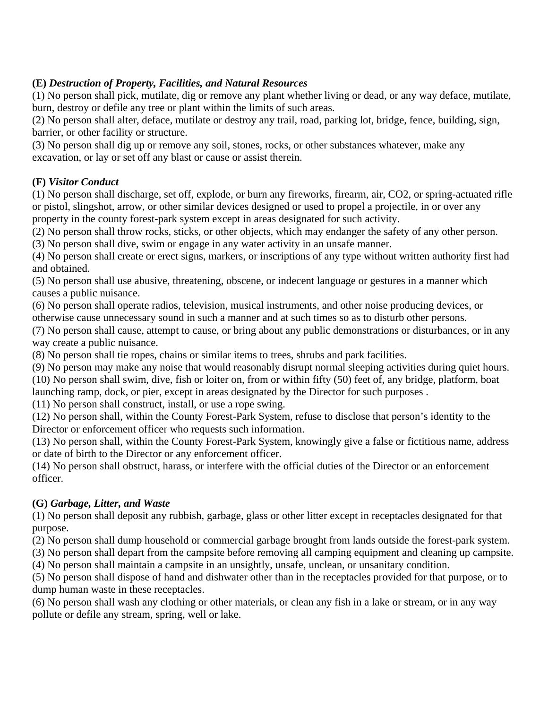## **(E)** *Destruction of Property, Facilities, and Natural Resources*

(1) No person shall pick, mutilate, dig or remove any plant whether living or dead, or any way deface, mutilate, burn, destroy or defile any tree or plant within the limits of such areas.

(2) No person shall alter, deface, mutilate or destroy any trail, road, parking lot, bridge, fence, building, sign, barrier, or other facility or structure.

(3) No person shall dig up or remove any soil, stones, rocks, or other substances whatever, make any excavation, or lay or set off any blast or cause or assist therein.

### **(F)** *Visitor Conduct*

(1) No person shall discharge, set off, explode, or burn any fireworks, firearm, air, CO2, or spring-actuated rifle or pistol, slingshot, arrow, or other similar devices designed or used to propel a projectile, in or over any property in the county forest-park system except in areas designated for such activity.

(2) No person shall throw rocks, sticks, or other objects, which may endanger the safety of any other person.

(3) No person shall dive, swim or engage in any water activity in an unsafe manner.

(4) No person shall create or erect signs, markers, or inscriptions of any type without written authority first had and obtained.

(5) No person shall use abusive, threatening, obscene, or indecent language or gestures in a manner which causes a public nuisance.

(6) No person shall operate radios, television, musical instruments, and other noise producing devices, or otherwise cause unnecessary sound in such a manner and at such times so as to disturb other persons.

(7) No person shall cause, attempt to cause, or bring about any public demonstrations or disturbances, or in any way create a public nuisance.

(8) No person shall tie ropes, chains or similar items to trees, shrubs and park facilities.

(9) No person may make any noise that would reasonably disrupt normal sleeping activities during quiet hours. (10) No person shall swim, dive, fish or loiter on, from or within fifty (50) feet of, any bridge, platform, boat launching ramp, dock, or pier, except in areas designated by the Director for such purposes .

(11) No person shall construct, install, or use a rope swing.

(12) No person shall, within the County Forest-Park System, refuse to disclose that person's identity to the Director or enforcement officer who requests such information.

(13) No person shall, within the County Forest-Park System, knowingly give a false or fictitious name, address or date of birth to the Director or any enforcement officer.

(14) No person shall obstruct, harass, or interfere with the official duties of the Director or an enforcement officer.

#### **(G)** *Garbage, Litter, and Waste*

(1) No person shall deposit any rubbish, garbage, glass or other litter except in receptacles designated for that purpose.

(2) No person shall dump household or commercial garbage brought from lands outside the forest-park system.

(3) No person shall depart from the campsite before removing all camping equipment and cleaning up campsite. (4) No person shall maintain a campsite in an unsightly, unsafe, unclean, or unsanitary condition.

(5) No person shall dispose of hand and dishwater other than in the receptacles provided for that purpose, or to dump human waste in these receptacles.

(6) No person shall wash any clothing or other materials, or clean any fish in a lake or stream, or in any way pollute or defile any stream, spring, well or lake.